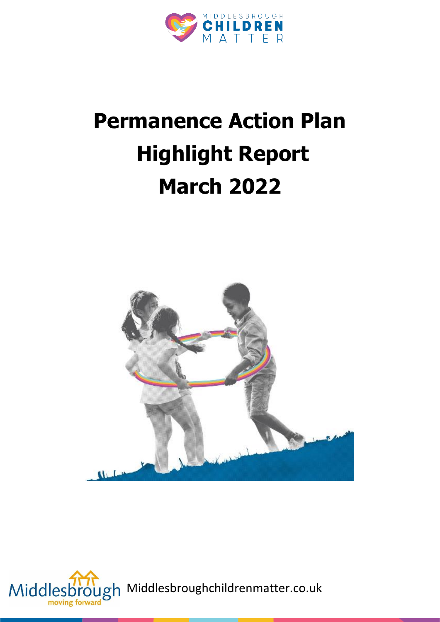

# **Permanence Action Plan Highlight Report March 2022**



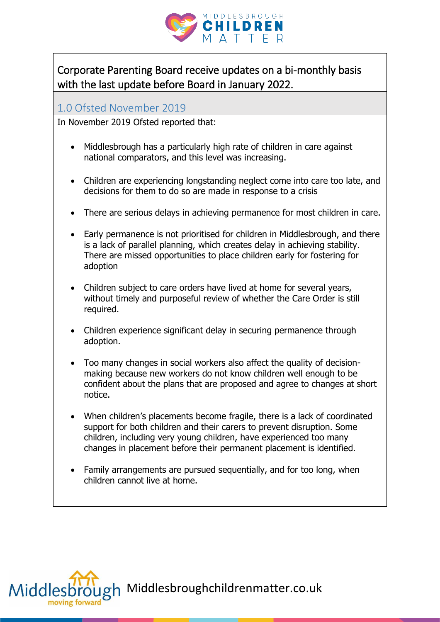

Corporate Parenting Board receive updates on a bi-monthly basis with the last update before Board in January 2022.

#### 1.0 Ofsted November 2019

In November 2019 Ofsted reported that:

- Middlesbrough has a particularly high rate of children in care against national comparators, and this level was increasing.
- Children are experiencing longstanding neglect come into care too late, and decisions for them to do so are made in response to a crisis
- There are serious delays in achieving permanence for most children in care.
- Early permanence is not prioritised for children in Middlesbrough, and there is a lack of parallel planning, which creates delay in achieving stability. There are missed opportunities to place children early for fostering for adoption
- Children subject to care orders have lived at home for several years, without timely and purposeful review of whether the Care Order is still required.
- Children experience significant delay in securing permanence through adoption.
- Too many changes in social workers also affect the quality of decisionmaking because new workers do not know children well enough to be confident about the plans that are proposed and agree to changes at short notice.
- When children's placements become fragile, there is a lack of coordinated support for both children and their carers to prevent disruption. Some children, including very young children, have experienced too many changes in placement before their permanent placement is identified.
- Family arrangements are pursued sequentially, and for too long, when children cannot live at home.



gh Middlesbroughchildrenmatter.co.uk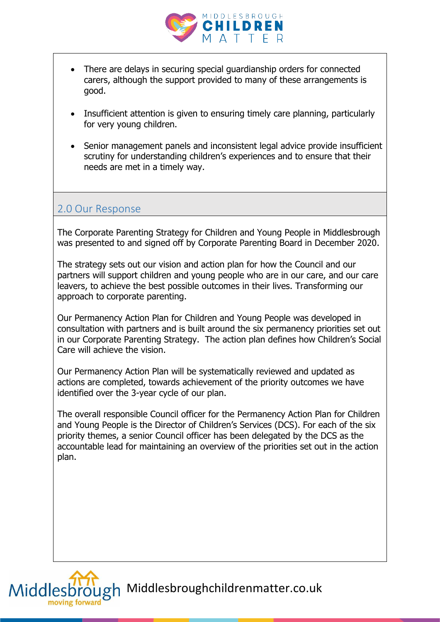

- There are delays in securing special guardianship orders for connected carers, although the support provided to many of these arrangements is good.
- Insufficient attention is given to ensuring timely care planning, particularly for very young children.
- Senior management panels and inconsistent legal advice provide insufficient scrutiny for understanding children's experiences and to ensure that their needs are met in a timely way.

#### 2.0 Our Response

The Corporate Parenting Strategy for Children and Young People in Middlesbrough was presented to and signed off by Corporate Parenting Board in December 2020.

The strategy sets out our vision and action plan for how the Council and our partners will support children and young people who are in our care, and our care leavers, to achieve the best possible outcomes in their lives. Transforming our approach to corporate parenting.

Our Permanency Action Plan for Children and Young People was developed in consultation with partners and is built around the six permanency priorities set out in our Corporate Parenting Strategy. The action plan defines how Children's Social Care will achieve the vision.

Our Permanency Action Plan will be systematically reviewed and updated as actions are completed, towards achievement of the priority outcomes we have identified over the 3-year cycle of our plan.

The overall responsible Council officer for the Permanency Action Plan for Children and Young People is the Director of Children's Services (DCS). For each of the six priority themes, a senior Council officer has been delegated by the DCS as the accountable lead for maintaining an overview of the priorities set out in the action plan.

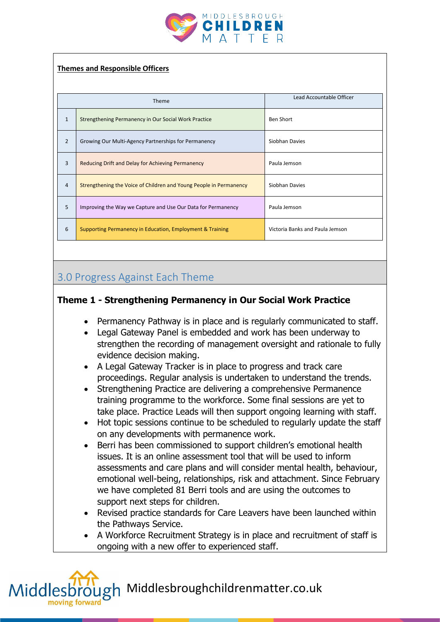

#### **Themes and Responsible Officers**

| Theme          |                                                                    | Lead Accountable Officer        |
|----------------|--------------------------------------------------------------------|---------------------------------|
| $\mathbf{1}$   | Strengthening Permanency in Our Social Work Practice               | Ben Short                       |
| 2              | Growing Our Multi-Agency Partnerships for Permanency               | Siobhan Davies                  |
| 3              | Reducing Drift and Delay for Achieving Permanency                  | Paula Jemson                    |
| $\overline{4}$ | Strengthening the Voice of Children and Young People in Permanency | Siobhan Davies                  |
| 5              | Improving the Way we Capture and Use Our Data for Permanency       | Paula Jemson                    |
| 6              | Supporting Permanency in Education, Employment & Training          | Victoria Banks and Paula Jemson |

## 3.0 Progress Against Each Theme

#### **Theme 1 - Strengthening Permanency in Our Social Work Practice**

- Permanency Pathway is in place and is regularly communicated to staff.
- Legal Gateway Panel is embedded and work has been underway to strengthen the recording of management oversight and rationale to fully evidence decision making.
- A Legal Gateway Tracker is in place to progress and track care proceedings. Regular analysis is undertaken to understand the trends.
- Strengthening Practice are delivering a comprehensive Permanence training programme to the workforce. Some final sessions are yet to take place. Practice Leads will then support ongoing learning with staff.
- Hot topic sessions continue to be scheduled to regularly update the staff on any developments with permanence work.
- Berri has been commissioned to support children's emotional health issues. It is an online assessment tool that will be used to inform assessments and care plans and will consider mental health, behaviour, emotional well-being, relationships, risk and attachment. Since February we have completed 81 Berri tools and are using the outcomes to support next steps for children.
- Revised practice standards for Care Leavers have been launched within the Pathways Service.
- A Workforce Recruitment Strategy is in place and recruitment of staff is ongoing with a new offer to experienced staff.

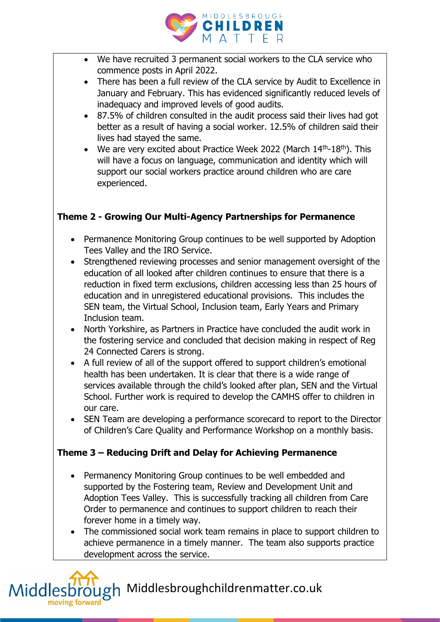

- We have recruited 3 permanent social workers to the CLA service who commence posts in April 2022.
- There has been a full review of the CLA service by Audit to Excellence in January and February. This has evidenced significantly reduced levels of inadequacy and improved levels of good audits.
- 87.5% of children consulted in the audit process said their lives had got better as a result of having a social worker. 12.5% of children said their lives had stayed the same.
- We are very excited about Practice Week 2022 (March  $14<sup>th</sup>$ - $18<sup>th</sup>$ ). This will have a focus on language, communication and identity which will support our social workers practice around children who are care experienced.

#### **Theme 2 - Growing Our Multi-Agency Partnerships for Permanence**

- Permanence Monitoring Group continues to be well supported by Adoption Tees Valley and the IRO Service.
- Strengthened reviewing processes and senior management oversight of the education of all looked after children continues to ensure that there is a reduction in fixed term exclusions, children accessing less than 25 hours of education and in unregistered educational provisions. This includes the SEN team, the Virtual School, Inclusion team, Early Years and Primary Inclusion team.
- North Yorkshire, as Partners in Practice have concluded the audit work in the fostering service and concluded that decision making in respect of Reg 24 Connected Carers is strong.
- A full review of all of the support offered to support children's emotional health has been undertaken. It is clear that there is a wide range of services available through the child's looked after plan, SEN and the Virtual School. Further work is required to develop the CAMHS offer to children in our care.
- SEN Team are developing a performance scorecard to report to the Director of Children's Care Quality and Performance Workshop on a monthly basis.

#### **Theme 3 – Reducing Drift and Delay for Achieving Permanence**

- Permanency Monitoring Group continues to be well embedded and supported by the Fostering team, Review and Development Unit and Adoption Tees Valley. This is successfully tracking all children from Care Order to permanence and continues to support children to reach their forever home in a timely way.
- The commissioned social work team remains in place to support children to achieve permanence in a timely manner. The team also supports practice development across the service.

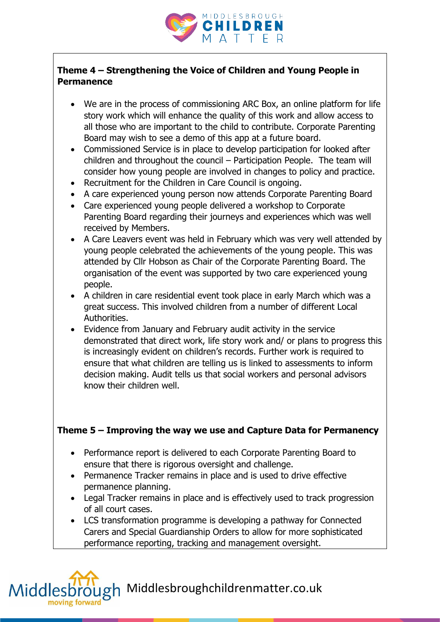

#### **Theme 4 – Strengthening the Voice of Children and Young People in Permanence**

- We are in the process of commissioning ARC Box, an online platform for life story work which will enhance the quality of this work and allow access to all those who are important to the child to contribute. Corporate Parenting Board may wish to see a demo of this app at a future board.
- Commissioned Service is in place to develop participation for looked after children and throughout the council – Participation People. The team will consider how young people are involved in changes to policy and practice.
- Recruitment for the Children in Care Council is ongoing.
- A care experienced young person now attends Corporate Parenting Board
- Care experienced young people delivered a workshop to Corporate Parenting Board regarding their journeys and experiences which was well received by Members.
- A Care Leavers event was held in February which was very well attended by young people celebrated the achievements of the young people. This was attended by Cllr Hobson as Chair of the Corporate Parenting Board. The organisation of the event was supported by two care experienced young people.
- A children in care residential event took place in early March which was a great success. This involved children from a number of different Local Authorities.
- Evidence from January and February audit activity in the service demonstrated that direct work, life story work and/ or plans to progress this is increasingly evident on children's records. Further work is required to ensure that what children are telling us is linked to assessments to inform decision making. Audit tells us that social workers and personal advisors know their children well.

#### **Theme 5 – Improving the way we use and Capture Data for Permanency**

- Performance report is delivered to each Corporate Parenting Board to ensure that there is rigorous oversight and challenge.
- Permanence Tracker remains in place and is used to drive effective permanence planning.
- Legal Tracker remains in place and is effectively used to track progression of all court cases.
- LCS transformation programme is developing a pathway for Connected Carers and Special Guardianship Orders to allow for more sophisticated performance reporting, tracking and management oversight.



**oh** Middlesbroughchildrenmatter.co.uk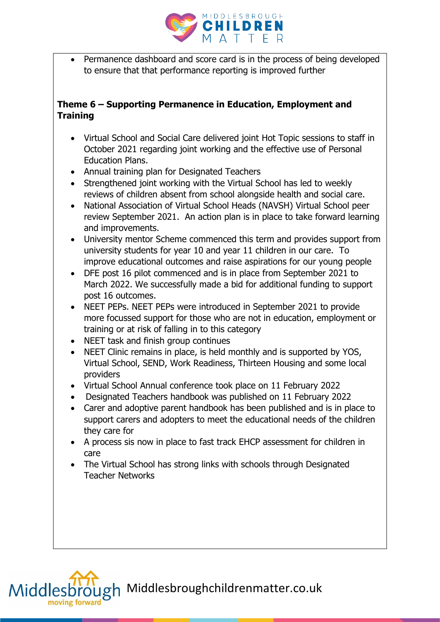

• Permanence dashboard and score card is in the process of being developed to ensure that that performance reporting is improved further

#### **Theme 6 – Supporting Permanence in Education, Employment and Training**

- Virtual School and Social Care delivered joint Hot Topic sessions to staff in October 2021 regarding joint working and the effective use of Personal Education Plans.
- Annual training plan for Designated Teachers
- Strengthened joint working with the Virtual School has led to weekly reviews of children absent from school alongside health and social care.
- National Association of Virtual School Heads (NAVSH) Virtual School peer review September 2021. An action plan is in place to take forward learning and improvements.
- University mentor Scheme commenced this term and provides support from university students for year 10 and year 11 children in our care. To improve educational outcomes and raise aspirations for our young people
- DFE post 16 pilot commenced and is in place from September 2021 to March 2022. We successfully made a bid for additional funding to support post 16 outcomes.
- NEET PEPs. NEET PEPs were introduced in September 2021 to provide more focussed support for those who are not in education, employment or training or at risk of falling in to this category
- NEET task and finish group continues
- NEET Clinic remains in place, is held monthly and is supported by YOS, Virtual School, SEND, Work Readiness, Thirteen Housing and some local providers
- Virtual School Annual conference took place on 11 February 2022
- Designated Teachers handbook was published on 11 February 2022
- Carer and adoptive parent handbook has been published and is in place to support carers and adopters to meet the educational needs of the children they care for
- A process sis now in place to fast track EHCP assessment for children in care
- The Virtual School has strong links with schools through Designated Teacher Networks



gh Middlesbroughchildrenmatter.co.uk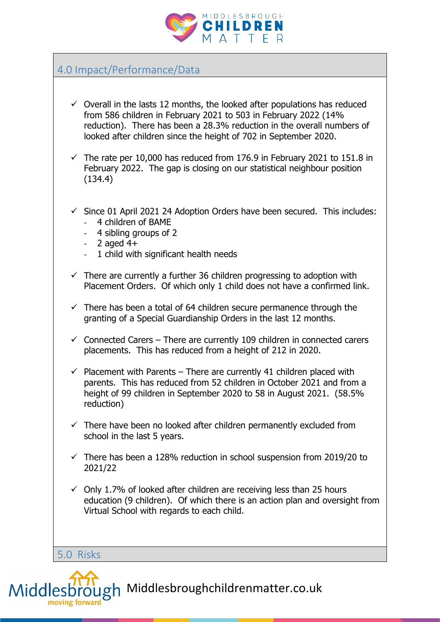

# 4.0 Impact/Performance/Data

- $\checkmark$  Overall in the lasts 12 months, the looked after populations has reduced from 586 children in February 2021 to 503 in February 2022 (14% reduction). There has been a 28.3% reduction in the overall numbers of looked after children since the height of 702 in September 2020.
- $\checkmark$  The rate per 10,000 has reduced from 176.9 in February 2021 to 151.8 in February 2022. The gap is closing on our statistical neighbour position (134.4)
- $\checkmark$  Since 01 April 2021 24 Adoption Orders have been secured. This includes:
	- 4 children of BAME
	- 4 sibling groups of 2
	- $-2$  aged  $4+$
	- 1 child with significant health needs
- $\checkmark$  There are currently a further 36 children progressing to adoption with Placement Orders. Of which only 1 child does not have a confirmed link.
- $\checkmark$  There has been a total of 64 children secure permanence through the granting of a Special Guardianship Orders in the last 12 months.
- $\checkmark$  Connected Carers There are currently 109 children in connected carers placements. This has reduced from a height of 212 in 2020.
- $\checkmark$  Placement with Parents There are currently 41 children placed with parents. This has reduced from 52 children in October 2021 and from a height of 99 children in September 2020 to 58 in August 2021. (58.5% reduction)
- $\checkmark$  There have been no looked after children permanently excluded from school in the last 5 years.
- $\checkmark$  There has been a 128% reduction in school suspension from 2019/20 to 2021/22
- $\checkmark$  Only 1.7% of looked after children are receiving less than 25 hours education (9 children). Of which there is an action plan and oversight from Virtual School with regards to each child.

5.0 Risks